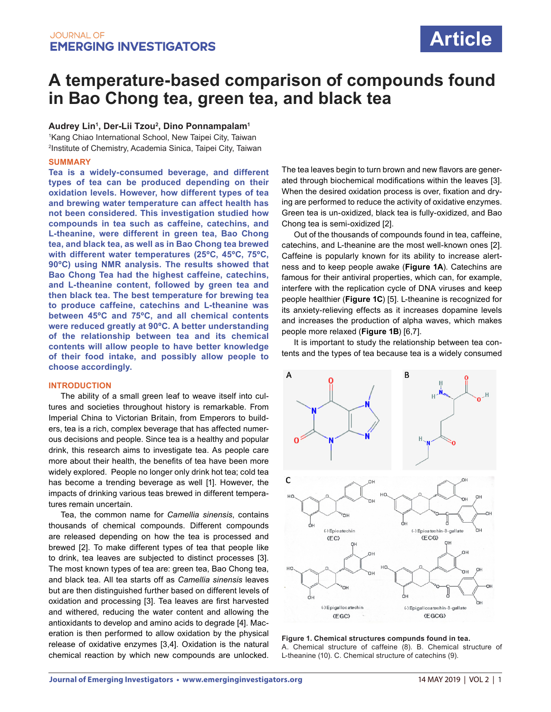# **A temperature-based comparison of compounds found in Bao Chong tea, green tea, and black tea**

**Audrey Lin1 , Der-Lii Tzou2 , Dino Ponnampalam1**

1 Kang Chiao International School, New Taipei City, Taiwan 2 Institute of Chemistry, Academia Sinica, Taipei City, Taiwan

### **SUMMARY**

**Tea is a widely-consumed beverage, and different types of tea can be produced depending on their oxidation levels. However, how different types of tea and brewing water temperature can affect health has not been considered. This investigation studied how compounds in tea such as caffeine, catechins, and L-theanine, were different in green tea, Bao Chong tea, and black tea, as well as in Bao Chong tea brewed with different water temperatures (25ºC, 45ºC, 75ºC, 90ºC) using NMR analysis. The results showed that Bao Chong Tea had the highest caffeine, catechins, and L-theanine content, followed by green tea and then black tea. The best temperature for brewing tea to produce caffeine, catechins and L-theanine was between 45ºC and 75ºC, and all chemical contents were reduced greatly at 90ºC. A better understanding of the relationship between tea and its chemical contents will allow people to have better knowledge of their food intake, and possibly allow people to choose accordingly.** 

### **INTRODUCTION**

The ability of a small green leaf to weave itself into cultures and societies throughout history is remarkable. From Imperial China to Victorian Britain, from Emperors to builders, tea is a rich, complex beverage that has affected numerous decisions and people. Since tea is a healthy and popular drink, this research aims to investigate tea. As people care more about their health, the benefits of tea have been more widely explored. People no longer only drink hot tea; cold tea has become a trending beverage as well [1]. However, the impacts of drinking various teas brewed in different temperatures remain uncertain.

Tea, the common name for *Camellia sinensis*, contains thousands of chemical compounds. Different compounds are released depending on how the tea is processed and brewed [2]. To make different types of tea that people like to drink, tea leaves are subjected to distinct processes [3]. The most known types of tea are: green tea, Bao Chong tea, and black tea. All tea starts off as *Camellia sinensis* leaves but are then distinguished further based on different levels of oxidation and processing [3]. Tea leaves are first harvested and withered, reducing the water content and allowing the antioxidants to develop and amino acids to degrade [4]. Maceration is then performed to allow oxidation by the physical release of oxidative enzymes [3,4]. Oxidation is the natural chemical reaction by which new compounds are unlocked. The tea leaves begin to turn brown and new flavors are generated through biochemical modifications within the leaves [3]. When the desired oxidation process is over, fixation and drying are performed to reduce the activity of oxidative enzymes. Green tea is un-oxidized, black tea is fully-oxidized, and Bao Chong tea is semi-oxidized [2].

Out of the thousands of compounds found in tea, caffeine, catechins, and L-theanine are the most well-known ones [2]. Caffeine is popularly known for its ability to increase alertness and to keep people awake (**Figure 1A**). Catechins are famous for their antiviral properties, which can, for example, interfere with the replication cycle of DNA viruses and keep people healthier (**Figure 1C**) [5]. L-theanine is recognized for its anxiety-relieving effects as it increases dopamine levels and increases the production of alpha waves, which makes people more relaxed (**Figure 1B**) [6,7].

It is important to study the relationship between tea contents and the types of tea because tea is a widely consumed



**Figure 1. Chemical structures compunds found in tea.**  A. Chemical structure of caffeine (8). B. Chemical structure of L-theanine (10). C. Chemical structure of catechins (9).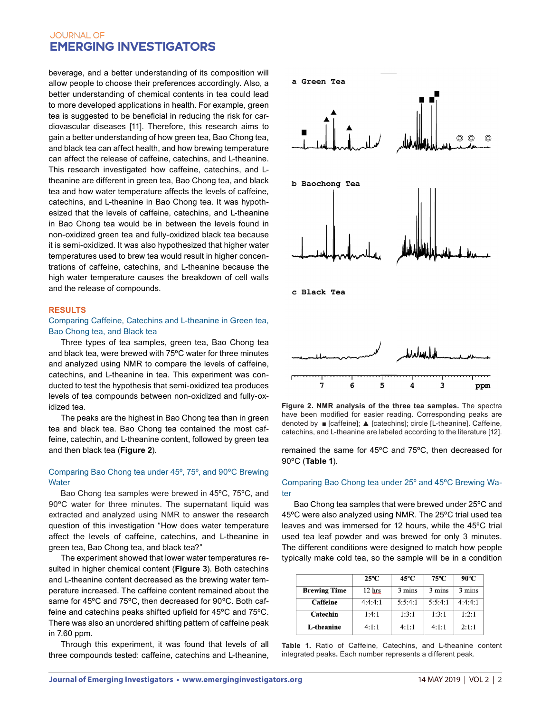beverage, and a better understanding of its composition will allow people to choose their preferences accordingly. Also, a better understanding of chemical contents in tea could lead to more developed applications in health. For example, green tea is suggested to be beneficial in reducing the risk for cardiovascular diseases [11]. Therefore, this research aims to gain a better understanding of how green tea, Bao Chong tea, and black tea can affect health, and how brewing temperature can affect the release of caffeine, catechins, and L-theanine. This research investigated how caffeine, catechins, and Ltheanine are different in green tea, Bao Chong tea, and black tea and how water temperature affects the levels of caffeine, catechins, and L-theanine in Bao Chong tea. It was hypothesized that the levels of caffeine, catechins, and L-theanine in Bao Chong tea would be in between the levels found in non-oxidized green tea and fully-oxidized black tea because it is semi-oxidized. It was also hypothesized that higher water temperatures used to brew tea would result in higher concentrations of caffeine, catechins, and L-theanine because the high water temperature causes the breakdown of cell walls and the release of compounds.

### **RESULTS**

### Comparing Caffeine, Catechins and L-theanine in Green tea, Bao Chong tea, and Black tea

Three types of tea samples, green tea, Bao Chong tea and black tea, were brewed with 75ºC water for three minutes and analyzed using NMR to compare the levels of caffeine, catechins, and L-theanine in tea. This experiment was conducted to test the hypothesis that semi-oxidized tea produces levels of tea compounds between non-oxidized and fully-oxidized tea.

The peaks are the highest in Bao Chong tea than in green tea and black tea. Bao Chong tea contained the most caffeine, catechin, and L-theanine content, followed by green tea and then black tea (**Figure 2**).

## Comparing Bao Chong tea under 45º, 75º, and 90ºC Brewing **Water**

Bao Chong tea samples were brewed in 45ºC, 75ºC, and 90ºC water for three minutes. The supernatant liquid was extracted and analyzed using NMR to answer the research question of this investigation "How does water temperature affect the levels of caffeine, catechins, and L-theanine in green tea, Bao Chong tea, and black tea?"

The experiment showed that lower water temperatures resulted in higher chemical content (**Figure 3**). Both catechins and L-theanine content decreased as the brewing water temperature increased. The caffeine content remained about the same for 45ºC and 75ºC, then decreased for 90ºC. Both caffeine and catechins peaks shifted upfield for 45ºC and 75ºC. There was also an unordered shifting pattern of caffeine peak in 7.60 ppm.

Through this experiment, it was found that levels of all three compounds tested: caffeine, catechins and L-theanine,



**Figure 2. NMR analysis of the three tea samples.** The spectra have been modified for easier reading. Corresponding peaks are denoted by ■ [caffeine]; ▲ [catechins]; circle [L-theanine]. Caffeine, catechins, and L-theanine are labeled according to the literature [12].

remained the same for 45ºC and 75ºC, then decreased for 90ºC (**Table 1**).

### Comparing Bao Chong tea under 25º and 45ºC Brewing Water

Bao Chong tea samples that were brewed under 25ºC and 45ºC were also analyzed using NMR. The 25ºC trial used tea leaves and was immersed for 12 hours, while the 45ºC trial used tea leaf powder and was brewed for only 3 minutes. The different conditions were designed to match how people typically make cold tea, so the sample will be in a condition

|                     | $25^{\circ}$ C | 45°C    | 75°C    | 90°C    |
|---------------------|----------------|---------|---------|---------|
| <b>Brewing Time</b> | 12 hrs         | 3 mins  | 3 mins  | 3 mins  |
| Caffeine            | 4:4:4:1        | 5:5:4:1 | 5:5:4:1 | 4:4:4:1 |
| Catechin            | 1:4:1          | 1:3:1   | 1:3:1   | 1:2:1   |
| L-theanine          | 4:1:1          | 4:1:1   | 4:1:1   | 2:1:1   |

**Table 1.** Ratio of Caffeine, Catechins, and L-theanine content integrated peaks**.** Each number represents a different peak.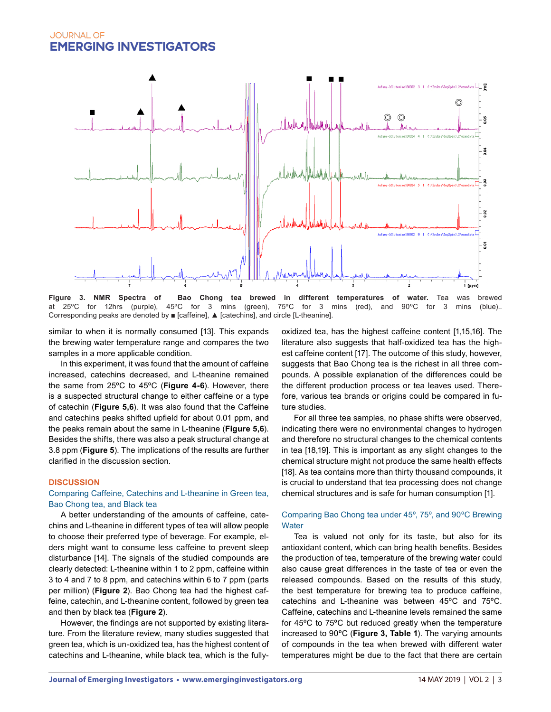

**Figure 3. NMR Spectra of Bao Chong tea brewed in different temperatures of water.** Tea was brewed at 25°C for 12hrs (purple). 45°C for 3 mins (blue). at 25°C for 12hrs (purple), 45°C for 3 mins (green), 75°C for 3 mins (red), and 90°C for 3 mins Corresponding peaks are denoted by ■ [caffeine], ▲ [catechins], and circle [L-theanine].

similar to when it is normally consumed [13]. This expands the brewing water temperature range and compares the two samples in a more applicable condition.

In this experiment, it was found that the amount of caffeine increased, catechins decreased, and L-theanine remained the same from 25ºC to 45ºC (**Figure 4-6**). However, there is a suspected structural change to either caffeine or a type of catechin (**Figure 5,6**). It was also found that the Caffeine and catechins peaks shifted upfield for about 0.01 ppm, and the peaks remain about the same in L-theanine (**Figure 5,6**). Besides the shifts, there was also a peak structural change at 3.8 ppm (**Figure 5**). The implications of the results are further clarified in the discussion section.

#### **DISCUSSION**

### Comparing Caffeine, Catechins and L-theanine in Green tea, Bao Chong tea, and Black tea

A better understanding of the amounts of caffeine, catechins and L-theanine in different types of tea will allow people to choose their preferred type of beverage. For example, elders might want to consume less caffeine to prevent sleep disturbance [14]. The signals of the studied compounds are clearly detected: L-theanine within 1 to 2 ppm, caffeine within 3 to 4 and 7 to 8 ppm, and catechins within 6 to 7 ppm (parts per million) (**Figure 2**). Bao Chong tea had the highest caffeine, catechin, and L-theanine content, followed by green tea and then by black tea (**Figure 2**).

However, the findings are not supported by existing literature. From the literature review, many studies suggested that green tea, which is un-oxidized tea, has the highest content of catechins and L-theanine, while black tea, which is the fullyoxidized tea, has the highest caffeine content [1,15,16]. The literature also suggests that half-oxidized tea has the highest caffeine content [17]. The outcome of this study, however, suggests that Bao Chong tea is the richest in all three compounds. A possible explanation of the differences could be the different production process or tea leaves used. Therefore, various tea brands or origins could be compared in future studies.

For all three tea samples, no phase shifts were observed, indicating there were no environmental changes to hydrogen and therefore no structural changes to the chemical contents in tea [18,19]. This is important as any slight changes to the chemical structure might not produce the same health effects [18]. As tea contains more than thirty thousand compounds, it is crucial to understand that tea processing does not change chemical structures and is safe for human consumption [1].

# Comparing Bao Chong tea under 45º, 75º, and 90ºC Brewing **Water**

Tea is valued not only for its taste, but also for its antioxidant content, which can bring health benefits. Besides the production of tea, temperature of the brewing water could also cause great differences in the taste of tea or even the released compounds. Based on the results of this study, the best temperature for brewing tea to produce caffeine, catechins and L-theanine was between 45ºC and 75ºC. Caffeine, catechins and L-theanine levels remained the same for 45ºC to 75ºC but reduced greatly when the temperature increased to 90ºC (**Figure 3, Table 1**). The varying amounts of compounds in the tea when brewed with different water temperatures might be due to the fact that there are certain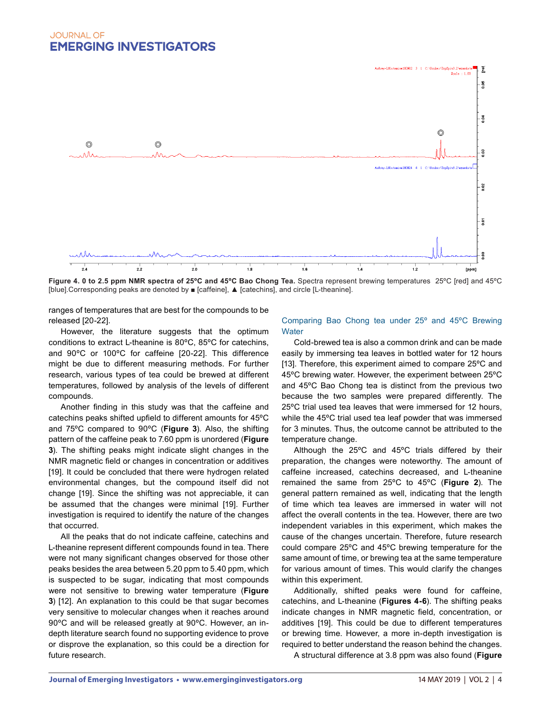

**Figure 4. 0 to 2.5 ppm NMR spectra of 25ºC and 45ºC Bao Chong Tea.** Spectra represent brewing temperatures 25ºC [red] and 45ºC [blue].Corresponding peaks are denoted by ■ [caffeine], ▲ [catechins], and circle [L-theanine].

ranges of temperatures that are best for the compounds to be released [20-22].

However, the literature suggests that the optimum conditions to extract L-theanine is 80ºC, 85ºC for catechins, and 90ºC or 100ºC for caffeine [20-22]. This difference might be due to different measuring methods. For further research, various types of tea could be brewed at different temperatures, followed by analysis of the levels of different compounds.

Another finding in this study was that the caffeine and catechins peaks shifted upfield to different amounts for 45ºC and 75ºC compared to 90ºC (**Figure 3**). Also, the shifting pattern of the caffeine peak to 7.60 ppm is unordered (**Figure 3**). The shifting peaks might indicate slight changes in the NMR magnetic field or changes in concentration or additives [19]. It could be concluded that there were hydrogen related environmental changes, but the compound itself did not change [19]. Since the shifting was not appreciable, it can be assumed that the changes were minimal [19]. Further investigation is required to identify the nature of the changes that occurred.

All the peaks that do not indicate caffeine, catechins and L-theanine represent different compounds found in tea. There were not many significant changes observed for those other peaks besides the area between 5.20 ppm to 5.40 ppm, which is suspected to be sugar, indicating that most compounds were not sensitive to brewing water temperature (**Figure 3**) [12]. An explanation to this could be that sugar becomes very sensitive to molecular changes when it reaches around 90ºC and will be released greatly at 90ºC. However, an indepth literature search found no supporting evidence to prove or disprove the explanation, so this could be a direction for future research.

### Comparing Bao Chong tea under 25º and 45ºC Brewing **Water**

Cold-brewed tea is also a common drink and can be made easily by immersing tea leaves in bottled water for 12 hours [13]. Therefore, this experiment aimed to compare 25ºC and 45ºC brewing water. However, the experiment between 25ºC and 45ºC Bao Chong tea is distinct from the previous two because the two samples were prepared differently. The 25ºC trial used tea leaves that were immersed for 12 hours, while the 45ºC trial used tea leaf powder that was immersed for 3 minutes. Thus, the outcome cannot be attributed to the temperature change.

Although the 25ºC and 45ºC trials differed by their preparation, the changes were noteworthy. The amount of caffeine increased, catechins decreased, and L-theanine remained the same from 25ºC to 45ºC (**Figure 2**). The general pattern remained as well, indicating that the length of time which tea leaves are immersed in water will not affect the overall contents in the tea. However, there are two independent variables in this experiment, which makes the cause of the changes uncertain. Therefore, future research could compare 25ºC and 45ºC brewing temperature for the same amount of time, or brewing tea at the same temperature for various amount of times. This would clarify the changes within this experiment.

Additionally, shifted peaks were found for caffeine, catechins, and L-theanine (**Figures 4-6**). The shifting peaks indicate changes in NMR magnetic field, concentration, or additives [19]. This could be due to different temperatures or brewing time. However, a more in-depth investigation is required to better understand the reason behind the changes.

A structural difference at 3.8 ppm was also found (**Figure**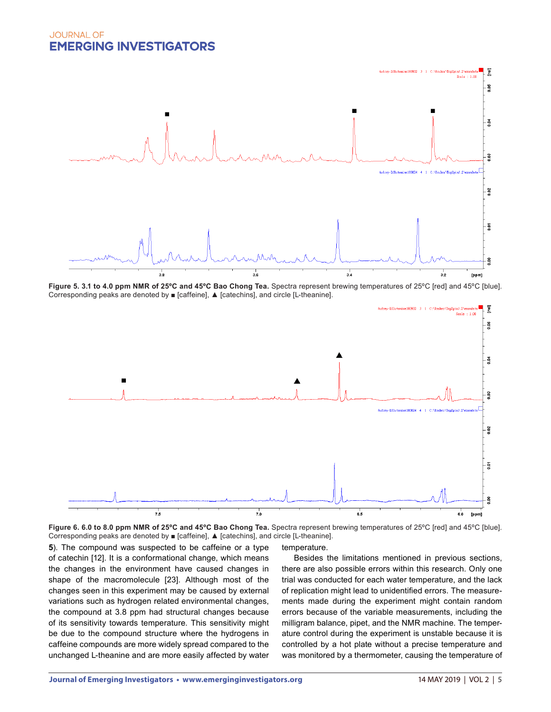

Figure 5. 3.1 to 4.0 ppm NMR of 25°C and 45°C Bao Chong Tea. Spectra represent brewing temperatures of 25°C [red] and 45°C [blue]. Corresponding peaks are denoted by ■ [caffeine], ▲ [catechins], and circle [L-theanine].





**5**). The compound was suspected to be caffeine or a type of catechin [12]. It is a conformational change, which means the changes in the environment have caused changes in shape of the macromolecule [23]. Although most of the changes seen in this experiment may be caused by external variations such as hydrogen related environmental changes, the compound at 3.8 ppm had structural changes because of its sensitivity towards temperature. This sensitivity might be due to the compound structure where the hydrogens in caffeine compounds are more widely spread compared to the unchanged L-theanine and are more easily affected by water

temperature.

Besides the limitations mentioned in previous sections, there are also possible errors within this research. Only one trial was conducted for each water temperature, and the lack of replication might lead to unidentified errors. The measurements made during the experiment might contain random errors because of the variable measurements, including the milligram balance, pipet, and the NMR machine. The temperature control during the experiment is unstable because it is controlled by a hot plate without a precise temperature and was monitored by a thermometer, causing the temperature of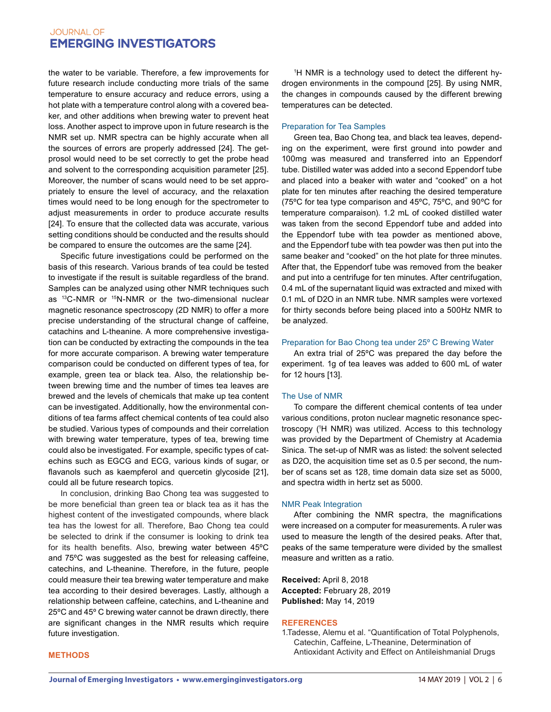the water to be variable. Therefore, a few improvements for future research include conducting more trials of the same temperature to ensure accuracy and reduce errors, using a hot plate with a temperature control along with a covered beaker, and other additions when brewing water to prevent heat loss. Another aspect to improve upon in future research is the NMR set up. NMR spectra can be highly accurate when all the sources of errors are properly addressed [24]. The getprosol would need to be set correctly to get the probe head and solvent to the corresponding acquisition parameter [25]. Moreover, the number of scans would need to be set appropriately to ensure the level of accuracy, and the relaxation times would need to be long enough for the spectrometer to adjust measurements in order to produce accurate results [24]. To ensure that the collected data was accurate, various setting conditions should be conducted and the results should be compared to ensure the outcomes are the same [24].

Specific future investigations could be performed on the basis of this research. Various brands of tea could be tested to investigate if the result is suitable regardless of the brand. Samples can be analyzed using other NMR techniques such as 13C-NMR or 15N-NMR or the two-dimensional nuclear magnetic resonance spectroscopy (2D NMR) to offer a more precise understanding of the structural change of caffeine, catachins and L-theanine. A more comprehensive investigation can be conducted by extracting the compounds in the tea for more accurate comparison. A brewing water temperature comparison could be conducted on different types of tea, for example, green tea or black tea. Also, the relationship between brewing time and the number of times tea leaves are brewed and the levels of chemicals that make up tea content can be investigated. Additionally, how the environmental conditions of tea farms affect chemical contents of tea could also be studied. Various types of compounds and their correlation with brewing water temperature, types of tea, brewing time could also be investigated. For example, specific types of catechins such as EGCG and ECG, various kinds of sugar, or flavanols such as kaempferol and quercetin glycoside [21], could all be future research topics.

In conclusion, drinking Bao Chong tea was suggested to be more beneficial than green tea or black tea as it has the highest content of the investigated compounds, where black tea has the lowest for all. Therefore, Bao Chong tea could be selected to drink if the consumer is looking to drink tea for its health benefits. Also, brewing water between 45ºC and 75ºC was suggested as the best for releasing caffeine, catechins, and L-theanine. Therefore, in the future, people could measure their tea brewing water temperature and make tea according to their desired beverages. Lastly, although a relationship between caffeine, catechins, and L-theanine and 25ºC and 45º C brewing water cannot be drawn directly, there are significant changes in the NMR results which require future investigation.

1 H NMR is a technology used to detect the different hydrogen environments in the compound [25]. By using NMR, the changes in compounds caused by the different brewing temperatures can be detected.

### Preparation for Tea Samples

Green tea, Bao Chong tea, and black tea leaves, depending on the experiment, were first ground into powder and 100mg was measured and transferred into an Eppendorf tube. Distilled water was added into a second Eppendorf tube and placed into a beaker with water and "cooked" on a hot plate for ten minutes after reaching the desired temperature (75ºC for tea type comparison and 45ºC, 75ºC, and 90ºC for temperature comparaison). 1.2 mL of cooked distilled water was taken from the second Eppendorf tube and added into the Eppendorf tube with tea powder as mentioned above, and the Eppendorf tube with tea powder was then put into the same beaker and "cooked" on the hot plate for three minutes. After that, the Eppendorf tube was removed from the beaker and put into a centrifuge for ten minutes. After centrifugation, 0.4 mL of the supernatant liquid was extracted and mixed with 0.1 mL of D2O in an NMR tube. NMR samples were vortexed for thirty seconds before being placed into a 500Hz NMR to be analyzed.

#### Preparation for Bao Chong tea under 25º C Brewing Water

An extra trial of 25ºC was prepared the day before the experiment. 1g of tea leaves was added to 600 mL of water for 12 hours [13].

#### The Use of NMR

To compare the different chemical contents of tea under various conditions, proton nuclear magnetic resonance spectroscopy (1 H NMR) was utilized. Access to this technology was provided by the Department of Chemistry at Academia Sinica. The set-up of NMR was as listed: the solvent selected as D2O, the acquisition time set as 0.5 per second, the number of scans set as 128, time domain data size set as 5000, and spectra width in hertz set as 5000.

#### NMR Peak Integration

After combining the NMR spectra, the magnifications were increased on a computer for measurements. A ruler was used to measure the length of the desired peaks. After that, peaks of the same temperature were divided by the smallest measure and written as a ratio.

**Received:** April 8, 2018 **Accepted:** February 28, 2019 **Published:** May 14, 2019

#### **REFERENCES**

1.Tadesse, Alemu et al. "Quantification of Total Polyphenols, Catechin, Caffeine, L-Theanine, Determination of Antioxidant Activity and Effect on Antileishmanial Drugs

#### **METHODS**